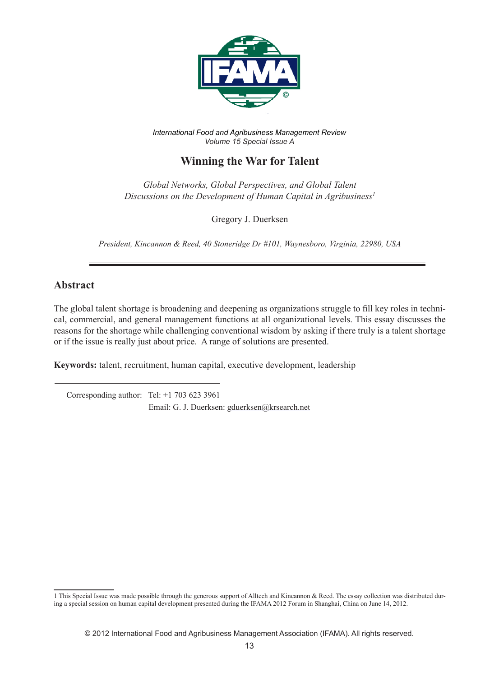

*International Food and Agribusiness Management Review Volume 15 Special Issue A*

# **Winning the War for Talent**

*Global Networks, Global Perspectives, and Global Talent Discussions on the Development of Human Capital in Agribusiness1*

Gregory J. Duerksen

*President, Kincannon & Reed, 40 Stoneridge Dr #101, Waynesboro, Virginia, 22980, USA*

### **Abstract**

The global talent shortage is broadening and deepening as organizations struggle to fill key roles in technical, commercial, and general management functions at all organizational levels. This essay discusses the reasons for the shortage while challenging conventional wisdom by asking if there truly is a talent shortage or if the issue is really just about price. A range of solutions are presented.

**Keywords:** talent, recruitment, human capital, executive development, leadership

 Corresponding author: Tel: +1 703 623 3961 Email: G. J. Duerksen: gduerksen@krsearch.net

<sup>1</sup> This Special Issue was made possible through the generous support of Alltech and Kincannon & Reed. The essay collection was distributed during a special session on human capital development presented during the IFAMA 2012 Forum in Shanghai, China on June 14, 2012.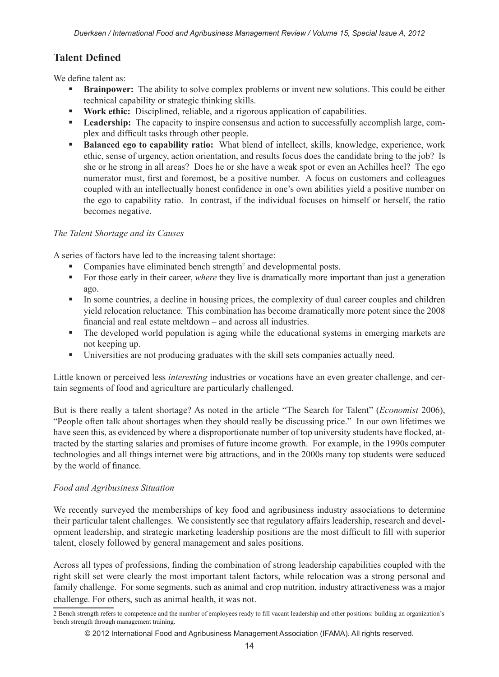# **Talent Defined**

We define talent as:

- **Brainpower:** The ability to solve complex problems or invent new solutions. This could be either technical capability or strategic thinking skills.
- **Work ethic:** Disciplined, reliable, and a rigorous application of capabilities.
- **Leadership:** The capacity to inspire consensus and action to successfully accomplish large, complex and difficult tasks through other people.
- **Balanced ego to capability ratio:** What blend of intellect, skills, knowledge, experience, work ethic, sense of urgency, action orientation, and results focus does the candidate bring to the job? Is she or he strong in all areas? Does he or she have a weak spot or even an Achilles heel? The ego numerator must, first and foremost, be a positive number. A focus on customers and colleagues coupled with an intellectually honest confidence in one's own abilities yield a positive number on the ego to capability ratio. In contrast, if the individual focuses on himself or herself, the ratio becomes negative.

### *The Talent Shortage and its Causes*

A series of factors have led to the increasing talent shortage:

- Companies have eliminated bench strength<sup>2</sup> and developmental posts.
- For those early in their career, *where* they live is dramatically more important than just a generation ago.
- In some countries, a decline in housing prices, the complexity of dual career couples and children yield relocation reluctance. This combination has become dramatically more potent since the 2008 financial and real estate meltdown – and across all industries.
- The developed world population is aging while the educational systems in emerging markets are not keeping up.
- Universities are not producing graduates with the skill sets companies actually need.

Little known or perceived less *interesting* industries or vocations have an even greater challenge, and certain segments of food and agriculture are particularly challenged.

But is there really a talent shortage? As noted in the article "The Search for Talent" (*Economist* 2006), "People often talk about shortages when they should really be discussing price." In our own lifetimes we have seen this, as evidenced by where a disproportionate number of top university students have flocked, attracted by the starting salaries and promises of future income growth. For example, in the 1990s computer technologies and all things internet were big attractions, and in the 2000s many top students were seduced by the world of finance.

#### *Food and Agribusiness Situation*

We recently surveyed the memberships of key food and agribusiness industry associations to determine their particular talent challenges. We consistently see that regulatory affairs leadership, research and development leadership, and strategic marketing leadership positions are the most difficult to fill with superior talent, closely followed by general management and sales positions.

Across all types of professions, finding the combination of strong leadership capabilities coupled with the right skill set were clearly the most important talent factors, while relocation was a strong personal and family challenge. For some segments, such as animal and crop nutrition, industry attractiveness was a major challenge. For others, such as animal health, it was not.

<sup>2</sup> Bench strength refers to competence and the number of employees ready to fill vacant leadership and other positions: building an organization's bench strength through management training.

<sup>© 2012</sup> International Food and Agribusiness Management Association (IFAMA). All rights reserved.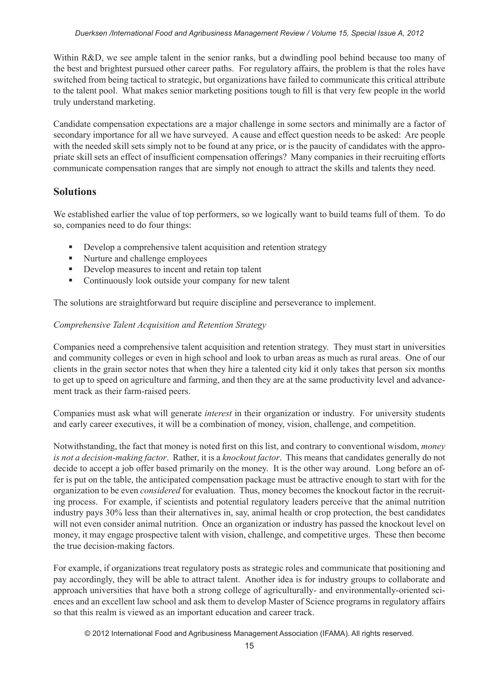Within R&D, we see ample talent in the senior ranks, but a dwindling pool behind because too many of the best and brightest pursued other career paths. For regulatory affairs, the problem is that the roles have switched from being tactical to strategic, but organizations have failed to communicate this critical attribute to the talent pool. What makes senior marketing positions tough to fill is that very few people in the world truly understand marketing.

Candidate compensation expectations are a major challenge in some sectors and minimally are a factor of secondary importance for all we have surveyed. A cause and effect question needs to be asked: Are people with the needed skill sets simply not to be found at any price, or is the paucity of candidates with the appropriate skill sets an effect of insufficient compensation offerings? Many companies in their recruiting efforts communicate compensation ranges that are simply not enough to attract the skills and talents they need.

## **Solutions**

We established earlier the value of top performers, so we logically want to build teams full of them. To do so, companies need to do four things:

- Develop a comprehensive talent acquisition and retention strategy
- Nurture and challenge employees
- Develop measures to incent and retain top talent
- Continuously look outside your company for new talent

The solutions are straightforward but require discipline and perseverance to implement.

### *Comprehensive Talent Acquisition and Retention Strategy*

Companies need a comprehensive talent acquisition and retention strategy. They must start in universities and community colleges or even in high school and look to urban areas as much as rural areas. One of our clients in the grain sector notes that when they hire a talented city kid it only takes that person six months to get up to speed on agriculture and farming, and then they are at the same productivity level and advancement track as their farm-raised peers.

Companies must ask what will generate *interest* in their organization or industry. For university students and early career executives, it will be a combination of money, vision, challenge, and competition.

Notwithstanding, the fact that money is noted first on this list, and contrary to conventional wisdom, *money is not a decision-making factor*. Rather, it is a *knockout factor*. This means that candidates generally do not decide to accept a job offer based primarily on the money. It is the other way around. Long before an offer is put on the table, the anticipated compensation package must be attractive enough to start with for the organization to be even *considered* for evaluation. Thus, money becomes the knockout factor in the recruiting process. For example, if scientists and potential regulatory leaders perceive that the animal nutrition industry pays 30% less than their alternatives in, say, animal health or crop protection, the best candidates will not even consider animal nutrition. Once an organization or industry has passed the knockout level on money, it may engage prospective talent with vision, challenge, and competitive urges. These then become the true decision-making factors.

For example, if organizations treat regulatory posts as strategic roles and communicate that positioning and pay accordingly, they will be able to attract talent. Another idea is for industry groups to collaborate and approach universities that have both a strong college of agriculturally- and environmentally-oriented sciences and an excellent law school and ask them to develop Master of Science programs in regulatory affairs so that this realm is viewed as an important education and career track.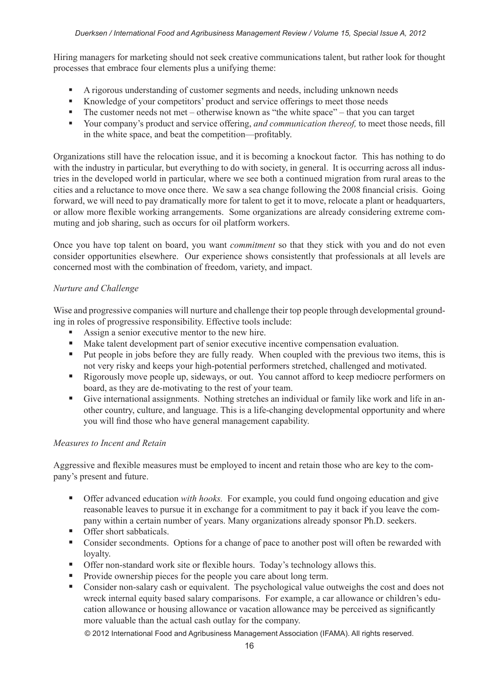Hiring managers for marketing should not seek creative communications talent, but rather look for thought processes that embrace four elements plus a unifying theme:

- A rigorous understanding of customer segments and needs, including unknown needs
- Knowledge of your competitors' product and service offerings to meet those needs
- $\blacksquare$  The customer needs not met otherwise known as "the white space" that you can target
- Your company's product and service offering, *and communication thereof,* to meet those needs, fill in the white space, and beat the competition—profitably.

Organizations still have the relocation issue, and it is becoming a knockout factor. This has nothing to do with the industry in particular, but everything to do with society, in general. It is occurring across all industries in the developed world in particular, where we see both a continued migration from rural areas to the cities and a reluctance to move once there. We saw a sea change following the 2008 financial crisis. Going forward, we will need to pay dramatically more for talent to get it to move, relocate a plant or headquarters, or allow more flexible working arrangements. Some organizations are already considering extreme commuting and job sharing, such as occurs for oil platform workers.

Once you have top talent on board, you want *commitment* so that they stick with you and do not even consider opportunities elsewhere. Our experience shows consistently that professionals at all levels are concerned most with the combination of freedom, variety, and impact.

### *Nurture and Challenge*

Wise and progressive companies will nurture and challenge their top people through developmental grounding in roles of progressive responsibility. Effective tools include:

- Assign a senior executive mentor to the new hire.
- Make talent development part of senior executive incentive compensation evaluation.
- Put people in jobs before they are fully ready. When coupled with the previous two items, this is not very risky and keeps your high-potential performers stretched, challenged and motivated.
- Rigorously move people up, sideways, or out. You cannot afford to keep mediocre performers on board, as they are de-motivating to the rest of your team.
- Give international assignments. Nothing stretches an individual or family like work and life in another country, culture, and language. This is a life-changing developmental opportunity and where you will find those who have general management capability.

#### *Measures to Incent and Retain*

Aggressive and flexible measures must be employed to incent and retain those who are key to the company's present and future.

- Offer advanced education *with hooks.* For example, you could fund ongoing education and give reasonable leaves to pursue it in exchange for a commitment to pay it back if you leave the company within a certain number of years. Many organizations already sponsor Ph.D. seekers.
- **Offer short sabbaticals.**
- Consider secondments. Options for a change of pace to another post will often be rewarded with loyalty.
- Offer non-standard work site or flexible hours. Today's technology allows this.
- Provide ownership pieces for the people you care about long term.
- Consider non-salary cash or equivalent. The psychological value outweighs the cost and does not wreck internal equity based salary comparisons. For example, a car allowance or children's education allowance or housing allowance or vacation allowance may be perceived as significantly more valuable than the actual cash outlay for the company.

© 2012 International Food and Agribusiness Management Association (IFAMA). All rights reserved.